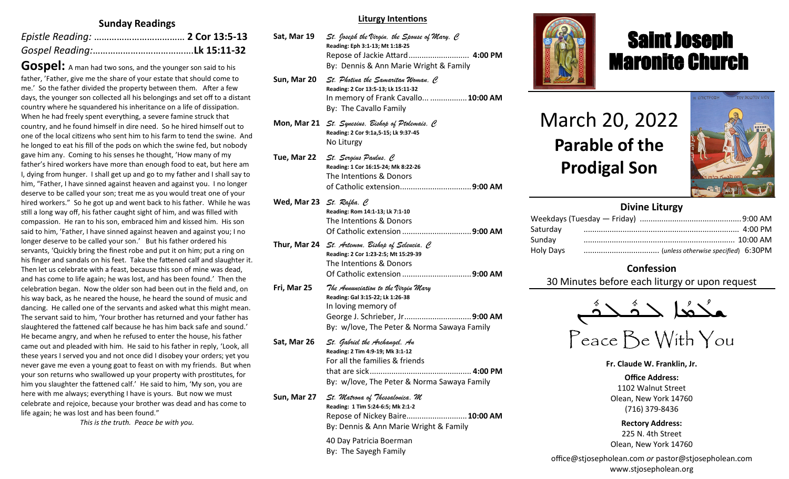### **Sunday Readings**

**Gospel:** A man had two sons, and the younger son said to his father, 'Father, give me the share of your estate that should come to me.' So the father divided the property between them. After a few days, the younger son collected all his belongings and set off to a distant country where he squandered his inheritance on a life of dissipation. When he had freely spent everything, a severe famine struck that country, and he found himself in dire need. So he hired himself out to one of the local citizens who sent him to his farm to tend the swine. And he longed to eat his fill of the pods on which the swine fed, but nobody gave him any. Coming to his senses he thought, 'How many of my father's hired workers have more than enough food to eat, but here am I, dying from hunger. I shall get up and go to my father and I shall say to him, "Father, I have sinned against heaven and against you. I no longer deserve to be called your son; treat me as you would treat one of your hired workers." So he got up and went back to his father. While he was still a long way off, his father caught sight of him, and was filled with compassion. He ran to his son, embraced him and kissed him. His son said to him, 'Father, I have sinned against heaven and against you; I no longer deserve to be called your son.' But his father ordered his servants, 'Quickly bring the finest robe and put it on him; put a ring on his finger and sandals on his feet. Take the fattened calf and slaughter it. Then let us celebrate with a feast, because this son of mine was dead, and has come to life again; he was lost, and has been found.' Then the celebration began. Now the older son had been out in the field and, on his way back, as he neared the house, he heard the sound of music and dancing. He called one of the servants and asked what this might mean. The servant said to him, 'Your brother has returned and your father has slaughtered the fattened calf because he has him back safe and sound.' He became angry, and when he refused to enter the house, his father came out and pleaded with him. He said to his father in reply, 'Look, all these years I served you and not once did I disobey your orders; yet you never gave me even a young goat to feast on with my friends. But when your son returns who swallowed up your property with prostitutes, for him you slaughter the fattened calf.' He said to him, 'My son, you are here with me always; everything I have is yours. But now we must celebrate and rejoice, because your brother was dead and has come to life again; he was lost and has been found."

*This is the truth. Peace be with you.*

#### **Liturgy Intentions**

| Sat, Mar 19                           | St. Joseph the Virgin, the Spouse of Mary, C<br>Reading: Eph 3:1-13; Mt 1:18-25<br>Repose of Jackie Attard 4:00 PM<br>By: Dennis & Ann Marie Wright & Family                    |
|---------------------------------------|---------------------------------------------------------------------------------------------------------------------------------------------------------------------------------|
| Sun, Mar 20                           | St. Photina the Samaritan Woman, C<br>Reading: 2 Cor 13:5-13; Lk 15:11-32<br>In memory of Frank Cavallo  10:00 AM<br>By: The Cavallo Family                                     |
|                                       | <b>Mon, Mar 21</b> St. Synesius, Bishop of Ptolemais, C<br>Reading: 2 Cor 9:1a, 5-15; Lk 9:37-45<br>No Liturgy                                                                  |
| Tue, Mar 22                           | St. Sergius Paulus, C<br>Reading: 1 Cor 16:15-24; Mk 8:22-26<br>The Intentions & Donors                                                                                         |
| Wed, Mar 23 $St.$ Rafka, $\mathcal C$ | Reading: Rom 14:1-13; Lk 7:1-10<br>The Intentions & Donors                                                                                                                      |
|                                       | Thur, Mar 24 St. Artemon. Bishop of Seleucia. C<br>Reading: 2 Cor 1:23-2:5; Mt 15:29-39<br>The Intentions & Donors<br>Of Catholic extension 9:00 AM                             |
| Fri, Mar 25                           | The Annunciation to the Virgin Mary<br>Reading: Gal 3:15-22; Lk 1:26-38<br>In loving memory of<br>George J. Schrieber, Jr9:00 AM<br>By: w/love, The Peter & Norma Sawaya Family |
| Sat, Mar 26                           | St. Gabriel the Archangel, An<br>Reading: 2 Tim 4:9-19; Mk 3:1-12<br>For all the families & friends<br>By: w/love, The Peter & Norma Sawaya Family                              |
| Sun, Mar 27                           | St. Matrona of Thessalonica, M<br>Reading: 1 Tim 5:24-6:5; Mk 2:1-2<br>Repose of Nickey Baire 10:00 AM<br>By: Dennis & Ann Marie Wright & Family                                |
|                                       | 40 Day Patricia Boerman<br>By: The Sayegh Family                                                                                                                                |



## Saint Joseph Maronite Church

# March 20, 2022 **Parable of the Prodigal Son**

ī



### **Divine Liturgy**

| Sunday    |  |
|-----------|--|
| Holy Days |  |
|           |  |

## **Confession**

30 Minutes before each liturgy or upon request



**Fr. Claude W. Franklin, Jr.**

**Office Address:** 1102 Walnut Street Olean, New York 14760 (716) 379-8436

**Rectory Address:** 225 N. 4th Street Olean, New York 14760

office@stjosepholean.com *or* pastor@stjosepholean.com www.stjosepholean.org